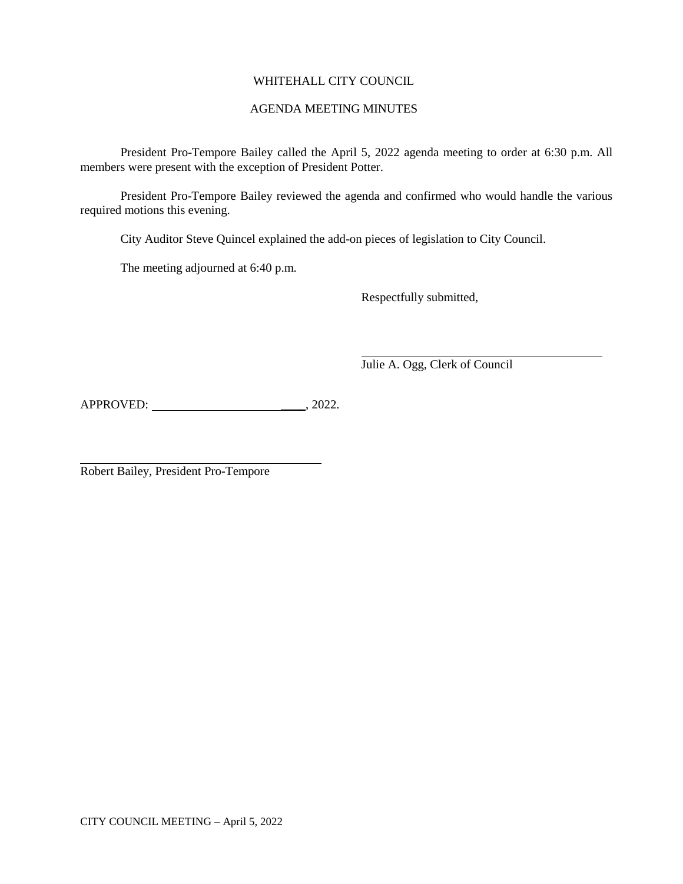# WHITEHALL CITY COUNCIL

## AGENDA MEETING MINUTES

President Pro-Tempore Bailey called the April 5, 2022 agenda meeting to order at 6:30 p.m. All members were present with the exception of President Potter.

President Pro-Tempore Bailey reviewed the agenda and confirmed who would handle the various required motions this evening.

City Auditor Steve Quincel explained the add-on pieces of legislation to City Council.

The meeting adjourned at 6:40 p.m.

Respectfully submitted,

Julie A. Ogg, Clerk of Council

APPROVED: \_\_\_\_, 2022.

Robert Bailey, President Pro-Tempore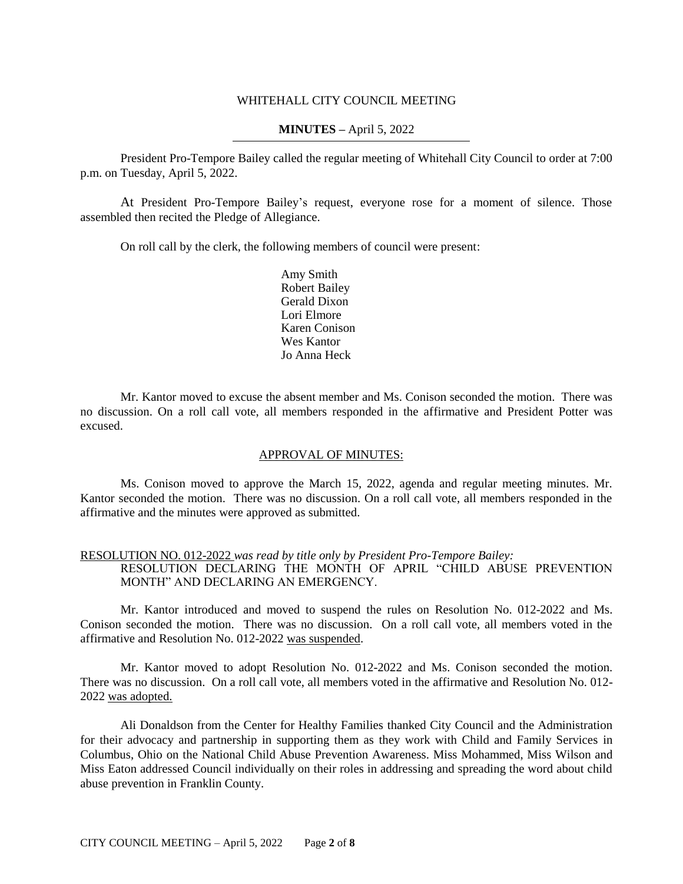### WHITEHALL CITY COUNCIL MEETING

## **MINUTES –** April 5, 2022

President Pro-Tempore Bailey called the regular meeting of Whitehall City Council to order at 7:00 p.m. on Tuesday, April 5, 2022.

At President Pro-Tempore Bailey's request, everyone rose for a moment of silence. Those assembled then recited the Pledge of Allegiance.

On roll call by the clerk, the following members of council were present:

Amy Smith Robert Bailey Gerald Dixon Lori Elmore Karen Conison Wes Kantor Jo Anna Heck

Mr. Kantor moved to excuse the absent member and Ms. Conison seconded the motion. There was no discussion. On a roll call vote, all members responded in the affirmative and President Potter was excused.

### APPROVAL OF MINUTES:

Ms. Conison moved to approve the March 15, 2022, agenda and regular meeting minutes. Mr. Kantor seconded the motion. There was no discussion. On a roll call vote, all members responded in the affirmative and the minutes were approved as submitted.

### RESOLUTION NO. 012-2022 *was read by title only by President Pro-Tempore Bailey:* RESOLUTION DECLARING THE MONTH OF APRIL "CHILD ABUSE PREVENTION MONTH" AND DECLARING AN EMERGENCY.

Mr. Kantor introduced and moved to suspend the rules on Resolution No. 012-2022 and Ms. Conison seconded the motion. There was no discussion. On a roll call vote, all members voted in the affirmative and Resolution No. 012-2022 was suspended.

Mr. Kantor moved to adopt Resolution No. 012-2022 and Ms. Conison seconded the motion. There was no discussion. On a roll call vote, all members voted in the affirmative and Resolution No. 012- 2022 was adopted.

Ali Donaldson from the Center for Healthy Families thanked City Council and the Administration for their advocacy and partnership in supporting them as they work with Child and Family Services in Columbus, Ohio on the National Child Abuse Prevention Awareness. Miss Mohammed, Miss Wilson and Miss Eaton addressed Council individually on their roles in addressing and spreading the word about child abuse prevention in Franklin County.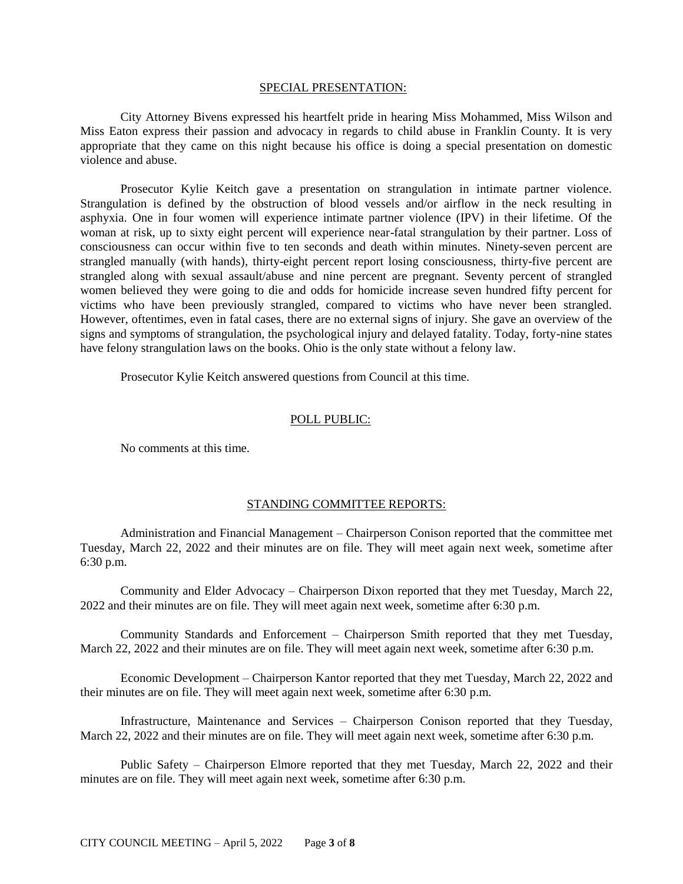#### SPECIAL PRESENTATION:

City Attorney Bivens expressed his heartfelt pride in hearing Miss Mohammed, Miss Wilson and Miss Eaton express their passion and advocacy in regards to child abuse in Franklin County. It is very appropriate that they came on this night because his office is doing a special presentation on domestic violence and abuse.

Prosecutor Kylie Keitch gave a presentation on strangulation in intimate partner violence. Strangulation is defined by the obstruction of blood vessels and/or airflow in the neck resulting in asphyxia. One in four women will experience intimate partner violence (IPV) in their lifetime. Of the woman at risk, up to sixty eight percent will experience near-fatal strangulation by their partner. Loss of consciousness can occur within five to ten seconds and death within minutes. Ninety-seven percent are strangled manually (with hands), thirty-eight percent report losing consciousness, thirty-five percent are strangled along with sexual assault/abuse and nine percent are pregnant. Seventy percent of strangled women believed they were going to die and odds for homicide increase seven hundred fifty percent for victims who have been previously strangled, compared to victims who have never been strangled. However, oftentimes, even in fatal cases, there are no external signs of injury. She gave an overview of the signs and symptoms of strangulation, the psychological injury and delayed fatality. Today, forty-nine states have felony strangulation laws on the books. Ohio is the only state without a felony law.

Prosecutor Kylie Keitch answered questions from Council at this time.

### POLL PUBLIC:

No comments at this time.

## STANDING COMMITTEE REPORTS:

Administration and Financial Management – Chairperson Conison reported that the committee met Tuesday, March 22, 2022 and their minutes are on file. They will meet again next week, sometime after 6:30 p.m.

Community and Elder Advocacy – Chairperson Dixon reported that they met Tuesday, March 22, 2022 and their minutes are on file. They will meet again next week, sometime after 6:30 p.m.

Community Standards and Enforcement – Chairperson Smith reported that they met Tuesday, March 22, 2022 and their minutes are on file. They will meet again next week, sometime after 6:30 p.m.

Economic Development – Chairperson Kantor reported that they met Tuesday, March 22, 2022 and their minutes are on file. They will meet again next week, sometime after 6:30 p.m.

Infrastructure, Maintenance and Services – Chairperson Conison reported that they Tuesday, March 22, 2022 and their minutes are on file. They will meet again next week, sometime after 6:30 p.m.

Public Safety – Chairperson Elmore reported that they met Tuesday, March 22, 2022 and their minutes are on file. They will meet again next week, sometime after 6:30 p.m.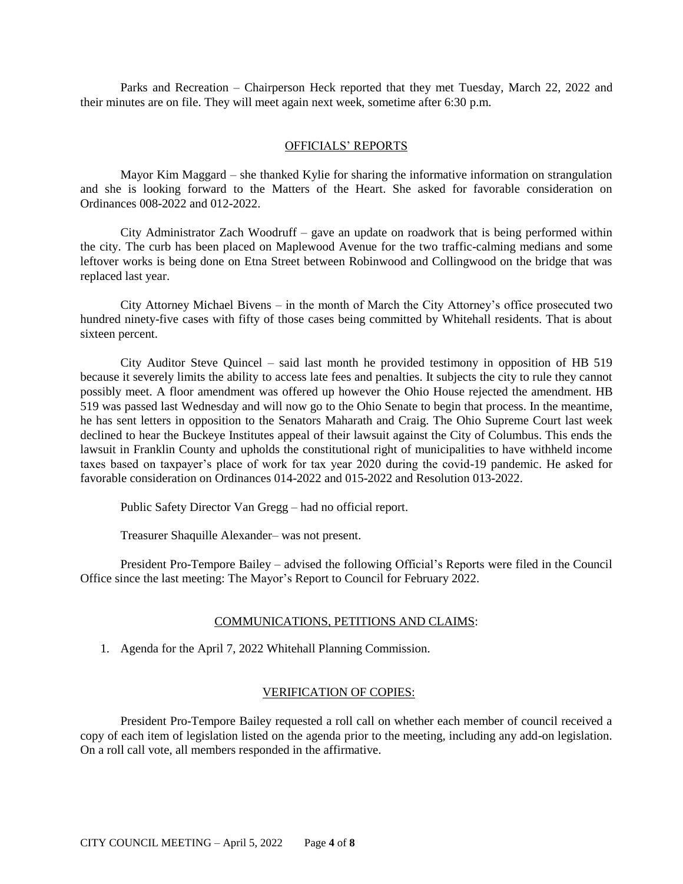Parks and Recreation – Chairperson Heck reported that they met Tuesday, March 22, 2022 and their minutes are on file. They will meet again next week, sometime after 6:30 p.m.

### OFFICIALS' REPORTS

Mayor Kim Maggard – she thanked Kylie for sharing the informative information on strangulation and she is looking forward to the Matters of the Heart. She asked for favorable consideration on Ordinances 008-2022 and 012-2022.

City Administrator Zach Woodruff – gave an update on roadwork that is being performed within the city. The curb has been placed on Maplewood Avenue for the two traffic-calming medians and some leftover works is being done on Etna Street between Robinwood and Collingwood on the bridge that was replaced last year.

City Attorney Michael Bivens – in the month of March the City Attorney's office prosecuted two hundred ninety-five cases with fifty of those cases being committed by Whitehall residents. That is about sixteen percent.

City Auditor Steve Quincel – said last month he provided testimony in opposition of HB 519 because it severely limits the ability to access late fees and penalties. It subjects the city to rule they cannot possibly meet. A floor amendment was offered up however the Ohio House rejected the amendment. HB 519 was passed last Wednesday and will now go to the Ohio Senate to begin that process. In the meantime, he has sent letters in opposition to the Senators Maharath and Craig. The Ohio Supreme Court last week declined to hear the Buckeye Institutes appeal of their lawsuit against the City of Columbus. This ends the lawsuit in Franklin County and upholds the constitutional right of municipalities to have withheld income taxes based on taxpayer's place of work for tax year 2020 during the covid-19 pandemic. He asked for favorable consideration on Ordinances 014-2022 and 015-2022 and Resolution 013-2022.

Public Safety Director Van Gregg – had no official report.

Treasurer Shaquille Alexander– was not present.

President Pro-Tempore Bailey – advised the following Official's Reports were filed in the Council Office since the last meeting: The Mayor's Report to Council for February 2022.

### COMMUNICATIONS, PETITIONS AND CLAIMS:

1. Agenda for the April 7, 2022 Whitehall Planning Commission.

### VERIFICATION OF COPIES:

President Pro-Tempore Bailey requested a roll call on whether each member of council received a copy of each item of legislation listed on the agenda prior to the meeting, including any add-on legislation. On a roll call vote, all members responded in the affirmative.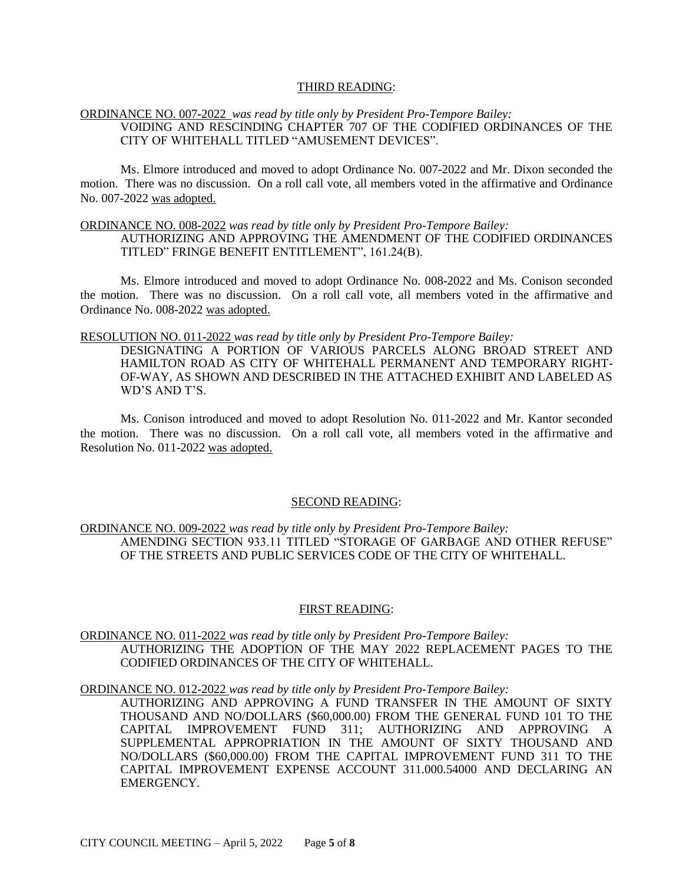### THIRD READING:

## ORDINANCE NO. 007-2022 *was read by title only by President Pro-Tempore Bailey:* VOIDING AND RESCINDING CHAPTER 707 OF THE CODIFIED ORDINANCES OF THE CITY OF WHITEHALL TITLED "AMUSEMENT DEVICES".

Ms. Elmore introduced and moved to adopt Ordinance No. 007-2022 and Mr. Dixon seconded the motion. There was no discussion. On a roll call vote, all members voted in the affirmative and Ordinance No. 007-2022 was adopted.

### ORDINANCE NO. 008-2022 *was read by title only by President Pro-Tempore Bailey:*

AUTHORIZING AND APPROVING THE AMENDMENT OF THE CODIFIED ORDINANCES TITLED" FRINGE BENEFIT ENTITLEMENT", 161.24(B).

Ms. Elmore introduced and moved to adopt Ordinance No. 008-2022 and Ms. Conison seconded the motion. There was no discussion. On a roll call vote, all members voted in the affirmative and Ordinance No. 008-2022 was adopted.

### RESOLUTION NO. 011-2022 *was read by title only by President Pro-Tempore Bailey:*

DESIGNATING A PORTION OF VARIOUS PARCELS ALONG BROAD STREET AND HAMILTON ROAD AS CITY OF WHITEHALL PERMANENT AND TEMPORARY RIGHT-OF-WAY, AS SHOWN AND DESCRIBED IN THE ATTACHED EXHIBIT AND LABELED AS WD'S AND T'S.

Ms. Conison introduced and moved to adopt Resolution No. 011-2022 and Mr. Kantor seconded the motion. There was no discussion. On a roll call vote, all members voted in the affirmative and Resolution No. 011-2022 was adopted.

### SECOND READING:

ORDINANCE NO. 009-2022 *was read by title only by President Pro-Tempore Bailey:* AMENDING SECTION 933.11 TITLED "STORAGE OF GARBAGE AND OTHER REFUSE" OF THE STREETS AND PUBLIC SERVICES CODE OF THE CITY OF WHITEHALL.

### FIRST READING:

ORDINANCE NO. 011-2022 *was read by title only by President Pro-Tempore Bailey:* AUTHORIZING THE ADOPTION OF THE MAY 2022 REPLACEMENT PAGES TO THE CODIFIED ORDINANCES OF THE CITY OF WHITEHALL.

ORDINANCE NO. 012-2022 *was read by title only by President Pro-Tempore Bailey:*

AUTHORIZING AND APPROVING A FUND TRANSFER IN THE AMOUNT OF SIXTY THOUSAND AND NO/DOLLARS (\$60,000.00) FROM THE GENERAL FUND 101 TO THE CAPITAL IMPROVEMENT FUND 311; AUTHORIZING AND APPROVING A SUPPLEMENTAL APPROPRIATION IN THE AMOUNT OF SIXTY THOUSAND AND NO/DOLLARS (\$60,000.00) FROM THE CAPITAL IMPROVEMENT FUND 311 TO THE CAPITAL IMPROVEMENT EXPENSE ACCOUNT 311.000.54000 AND DECLARING AN EMERGENCY.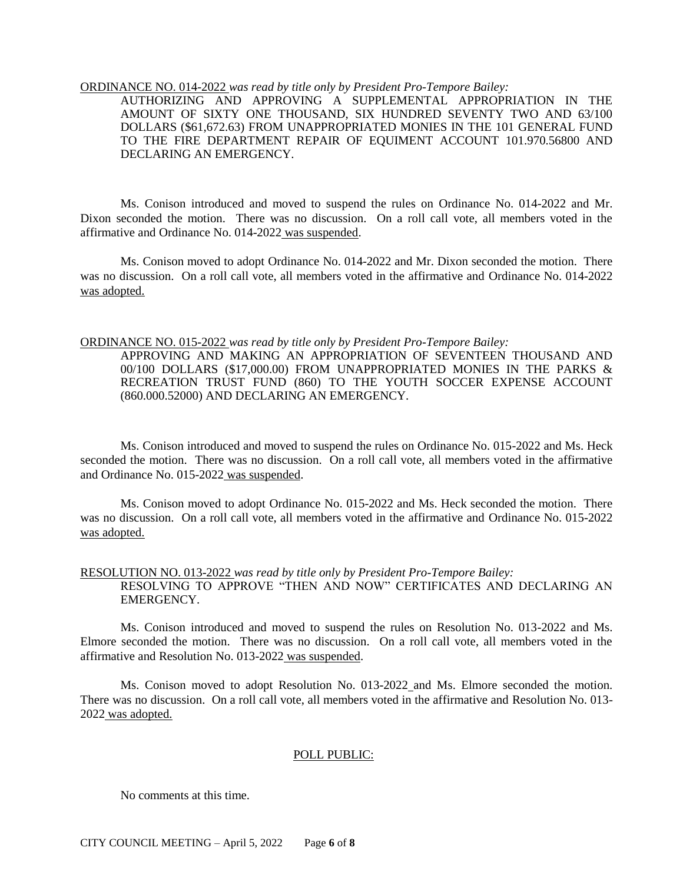### ORDINANCE NO. 014-2022 *was read by title only by President Pro-Tempore Bailey:*

AUTHORIZING AND APPROVING A SUPPLEMENTAL APPROPRIATION IN THE AMOUNT OF SIXTY ONE THOUSAND, SIX HUNDRED SEVENTY TWO AND 63/100 DOLLARS (\$61,672.63) FROM UNAPPROPRIATED MONIES IN THE 101 GENERAL FUND TO THE FIRE DEPARTMENT REPAIR OF EQUIMENT ACCOUNT 101.970.56800 AND DECLARING AN EMERGENCY.

Ms. Conison introduced and moved to suspend the rules on Ordinance No. 014-2022 and Mr. Dixon seconded the motion. There was no discussion. On a roll call vote, all members voted in the affirmative and Ordinance No. 014-2022 was suspended.

Ms. Conison moved to adopt Ordinance No. 014-2022 and Mr. Dixon seconded the motion. There was no discussion. On a roll call vote, all members voted in the affirmative and Ordinance No. 014-2022 was adopted.

#### ORDINANCE NO. 015-2022 *was read by title only by President Pro-Tempore Bailey:*

APPROVING AND MAKING AN APPROPRIATION OF SEVENTEEN THOUSAND AND 00/100 DOLLARS (\$17,000.00) FROM UNAPPROPRIATED MONIES IN THE PARKS & RECREATION TRUST FUND (860) TO THE YOUTH SOCCER EXPENSE ACCOUNT (860.000.52000) AND DECLARING AN EMERGENCY.

Ms. Conison introduced and moved to suspend the rules on Ordinance No. 015-2022 and Ms. Heck seconded the motion. There was no discussion. On a roll call vote, all members voted in the affirmative and Ordinance No. 015-2022 was suspended.

Ms. Conison moved to adopt Ordinance No. 015-2022 and Ms. Heck seconded the motion. There was no discussion. On a roll call vote, all members voted in the affirmative and Ordinance No. 015-2022 was adopted.

# RESOLUTION NO. 013-2022 *was read by title only by President Pro-Tempore Bailey:* RESOLVING TO APPROVE "THEN AND NOW" CERTIFICATES AND DECLARING AN EMERGENCY.

Ms. Conison introduced and moved to suspend the rules on Resolution No. 013-2022 and Ms. Elmore seconded the motion. There was no discussion. On a roll call vote, all members voted in the affirmative and Resolution No. 013-2022 was suspended.

Ms. Conison moved to adopt Resolution No. 013-2022 and Ms. Elmore seconded the motion. There was no discussion. On a roll call vote, all members voted in the affirmative and Resolution No. 013- 2022 was adopted.

### POLL PUBLIC:

No comments at this time.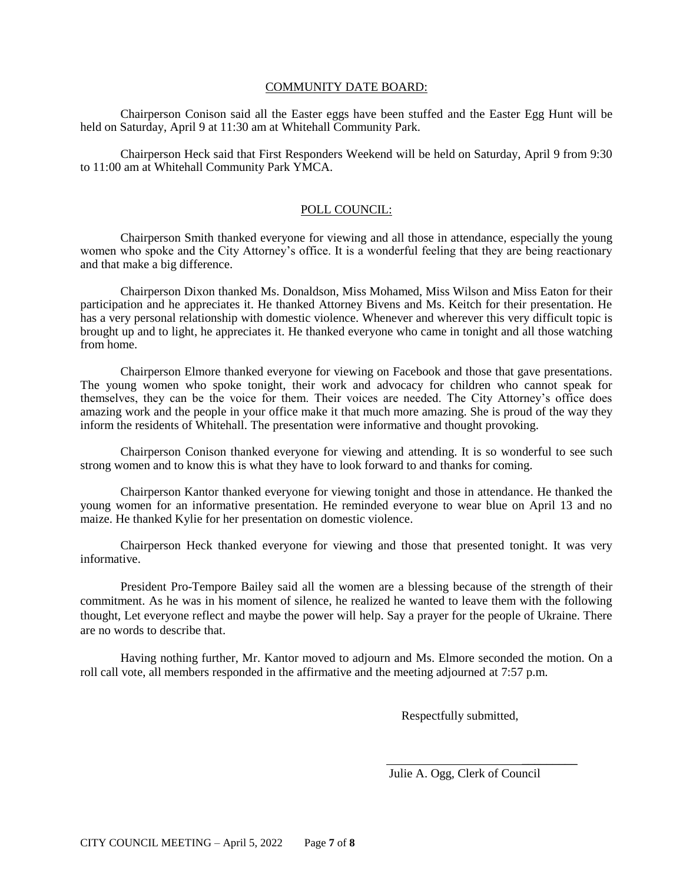### COMMUNITY DATE BOARD:

Chairperson Conison said all the Easter eggs have been stuffed and the Easter Egg Hunt will be held on Saturday, April 9 at 11:30 am at Whitehall Community Park.

Chairperson Heck said that First Responders Weekend will be held on Saturday, April 9 from 9:30 to 11:00 am at Whitehall Community Park YMCA.

## POLL COUNCIL:

Chairperson Smith thanked everyone for viewing and all those in attendance, especially the young women who spoke and the City Attorney's office. It is a wonderful feeling that they are being reactionary and that make a big difference.

Chairperson Dixon thanked Ms. Donaldson, Miss Mohamed, Miss Wilson and Miss Eaton for their participation and he appreciates it. He thanked Attorney Bivens and Ms. Keitch for their presentation. He has a very personal relationship with domestic violence. Whenever and wherever this very difficult topic is brought up and to light, he appreciates it. He thanked everyone who came in tonight and all those watching from home.

Chairperson Elmore thanked everyone for viewing on Facebook and those that gave presentations. The young women who spoke tonight, their work and advocacy for children who cannot speak for themselves, they can be the voice for them. Their voices are needed. The City Attorney's office does amazing work and the people in your office make it that much more amazing. She is proud of the way they inform the residents of Whitehall. The presentation were informative and thought provoking.

Chairperson Conison thanked everyone for viewing and attending. It is so wonderful to see such strong women and to know this is what they have to look forward to and thanks for coming.

Chairperson Kantor thanked everyone for viewing tonight and those in attendance. He thanked the young women for an informative presentation. He reminded everyone to wear blue on April 13 and no maize. He thanked Kylie for her presentation on domestic violence.

Chairperson Heck thanked everyone for viewing and those that presented tonight. It was very informative.

President Pro-Tempore Bailey said all the women are a blessing because of the strength of their commitment. As he was in his moment of silence, he realized he wanted to leave them with the following thought, Let everyone reflect and maybe the power will help. Say a prayer for the people of Ukraine. There are no words to describe that.

Having nothing further, Mr. Kantor moved to adjourn and Ms. Elmore seconded the motion. On a roll call vote, all members responded in the affirmative and the meeting adjourned at 7:57 p.m.

Respectfully submitted,

 $\frac{1}{\sqrt{2}}$  ,  $\frac{1}{\sqrt{2}}$  ,  $\frac{1}{\sqrt{2}}$  ,  $\frac{1}{\sqrt{2}}$  ,  $\frac{1}{\sqrt{2}}$  ,  $\frac{1}{\sqrt{2}}$  ,  $\frac{1}{\sqrt{2}}$  ,  $\frac{1}{\sqrt{2}}$  ,  $\frac{1}{\sqrt{2}}$  ,  $\frac{1}{\sqrt{2}}$  ,  $\frac{1}{\sqrt{2}}$  ,  $\frac{1}{\sqrt{2}}$  ,  $\frac{1}{\sqrt{2}}$  ,  $\frac{1}{\sqrt{2}}$  ,  $\frac{1}{\sqrt{2}}$ Julie A. Ogg, Clerk of Council